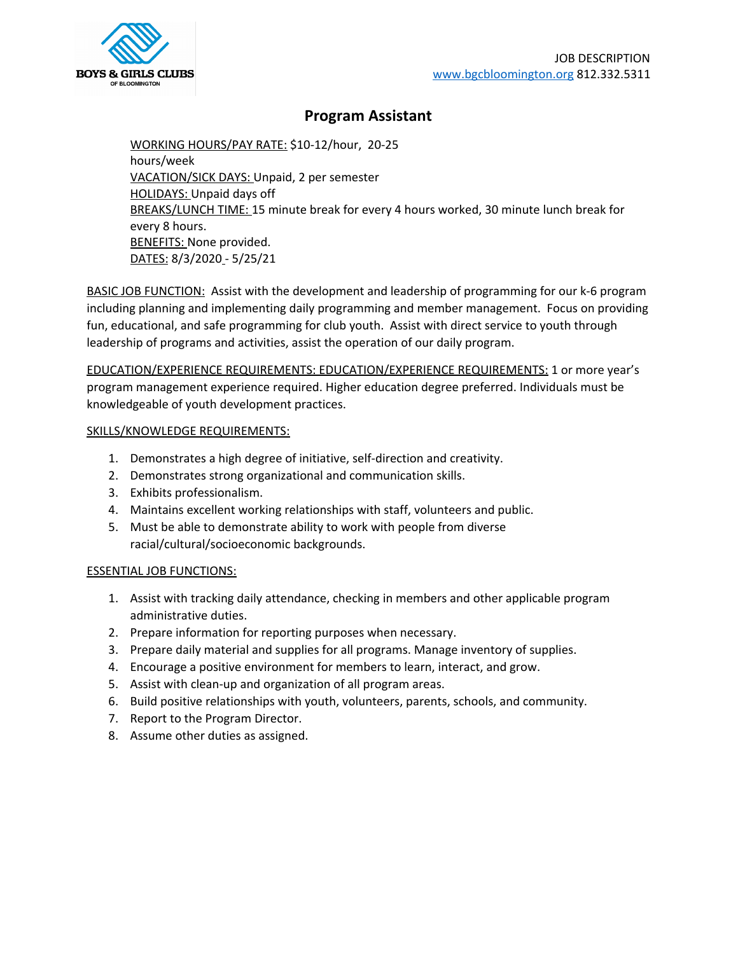

## **Program Assistant**

WORKING HOURS/PAY RATE: \$10-12/hour, 20-25 hours/week VACATION/SICK DAYS: Unpaid, 2 per semester HOLIDAYS: Unpaid days off BREAKS/LUNCH TIME: 15 minute break for every 4 hours worked, 30 minute lunch break for every 8 hours. **BENEFITS: None provided.** DATES: 8/3/2020 - 5/25/21

BASIC JOB FUNCTION: Assist with the development and leadership of programming for our k-6 program including planning and implementing daily programming and member management. Focus on providing fun, educational, and safe programming for club youth. Assist with direct service to youth through leadership of programs and activities, assist the operation of our daily program.

EDUCATION/EXPERIENCE REQUIREMENTS: EDUCATION/EXPERIENCE REQUIREMENTS: 1 or more year's program management experience required. Higher education degree preferred. Individuals must be knowledgeable of youth development practices.

## SKILLS/KNOWLEDGE REQUIREMENTS:

- 1. Demonstrates a high degree of initiative, self-direction and creativity.
- 2. Demonstrates strong organizational and communication skills.
- 3. Exhibits professionalism.
- 4. Maintains excellent working relationships with staff, volunteers and public.
- 5. Must be able to demonstrate ability to work with people from diverse racial/cultural/socioeconomic backgrounds.

## ESSENTIAL JOB FUNCTIONS:

- 1. Assist with tracking daily attendance, checking in members and other applicable program administrative duties.
- 2. Prepare information for reporting purposes when necessary.
- 3. Prepare daily material and supplies for all programs. Manage inventory of supplies.
- 4. Encourage a positive environment for members to learn, interact, and grow.
- 5. Assist with clean-up and organization of all program areas.
- 6. Build positive relationships with youth, volunteers, parents, schools, and community.
- 7. Report to the Program Director.
- 8. Assume other duties as assigned.